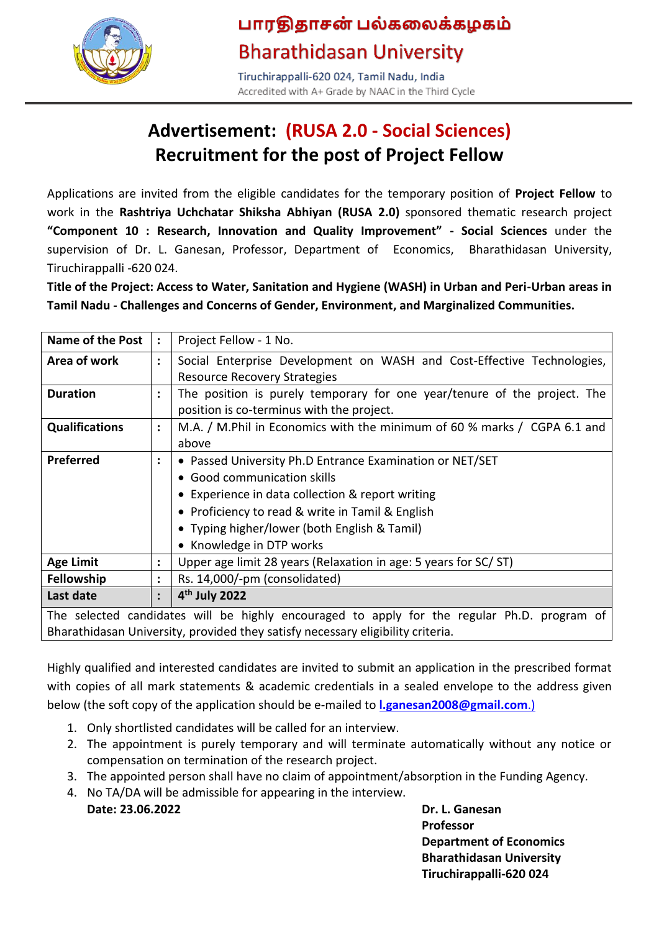

# பாரதிதாசன் பல்கலைக்கழகம் **Bharathidasan University**

Tiruchirappalli-620 024, Tamil Nadu, India Accredited with A+ Grade by NAAC in the Third Cycle

# **Advertisement: (RUSA 2.0 - Social Sciences) Recruitment for the post of Project Fellow**

Applications are invited from the eligible candidates for the temporary position of **Project Fellow** to work in the **Rashtriya Uchchatar Shiksha Abhiyan (RUSA 2.0)** sponsored thematic research project **"Component 10 : Research, Innovation and Quality Improvement" - Social Sciences** under the supervision of Dr. L. Ganesan, Professor, Department of Economics, Bharathidasan University, Tiruchirappalli -620 024.

**Title of the Project: Access to Water, Sanitation and Hygiene (WASH) in Urban and Peri-Urban areas in Tamil Nadu - Challenges and Concerns of Gender, Environment, and Marginalized Communities.**

| <b>Name of the Post</b> | $\ddot{\cdot}$       | Project Fellow - 1 No.                                                                      |  |  |  |  |
|-------------------------|----------------------|---------------------------------------------------------------------------------------------|--|--|--|--|
| Area of work            | $\ddot{\phantom{a}}$ | Social Enterprise Development on WASH and Cost-Effective Technologies,                      |  |  |  |  |
|                         |                      | <b>Resource Recovery Strategies</b>                                                         |  |  |  |  |
| <b>Duration</b>         | $\ddot{\phantom{a}}$ | The position is purely temporary for one year/tenure of the project. The                    |  |  |  |  |
|                         |                      | position is co-terminus with the project.                                                   |  |  |  |  |
| <b>Qualifications</b>   | $\ddot{\cdot}$       | M.A. / M.Phil in Economics with the minimum of 60 % marks / CGPA 6.1 and                    |  |  |  |  |
|                         |                      | above                                                                                       |  |  |  |  |
| Preferred               | $\ddot{\phantom{a}}$ | • Passed University Ph.D Entrance Examination or NET/SET                                    |  |  |  |  |
|                         |                      | • Good communication skills                                                                 |  |  |  |  |
|                         |                      | • Experience in data collection & report writing                                            |  |  |  |  |
|                         |                      | • Proficiency to read & write in Tamil & English                                            |  |  |  |  |
|                         |                      | • Typing higher/lower (both English & Tamil)                                                |  |  |  |  |
|                         |                      | • Knowledge in DTP works                                                                    |  |  |  |  |
| <b>Age Limit</b>        | $\ddot{\cdot}$       | Upper age limit 28 years (Relaxation in age: 5 years for SC/ ST)                            |  |  |  |  |
| <b>Fellowship</b>       | ٠                    | Rs. 14,000/-pm (consolidated)                                                               |  |  |  |  |
| Last date               | $\ddot{\cdot}$       | 4 <sup>th</sup> July 2022                                                                   |  |  |  |  |
|                         |                      | The selected candidates will be bighly encouraged to annly for the regular Ph D, program of |  |  |  |  |

will be highly encouraged to apply for the reg Bharathidasan University, provided they satisfy necessary eligibility criteria.

Highly qualified and interested candidates are invited to submit an application in the prescribed format with copies of all mark statements & academic credentials in a sealed envelope to the address given below (the soft copy of the application should be e-mailed to **[l.ganesan2008@gmail.com](mailto:l.ganesan2008@gmail.com.))**.)

- 1. Only shortlisted candidates will be called for an interview.
- 2. The appointment is purely temporary and will terminate automatically without any notice or compensation on termination of the research project.
- 3. The appointed person shall have no claim of appointment/absorption in the Funding Agency.
- 4. No TA/DA will be admissible for appearing in the interview. **Date: 23.06.2022 Dr. L. Ganesan**

**Professor Department of Economics Bharathidasan University Tiruchirappalli-620 024**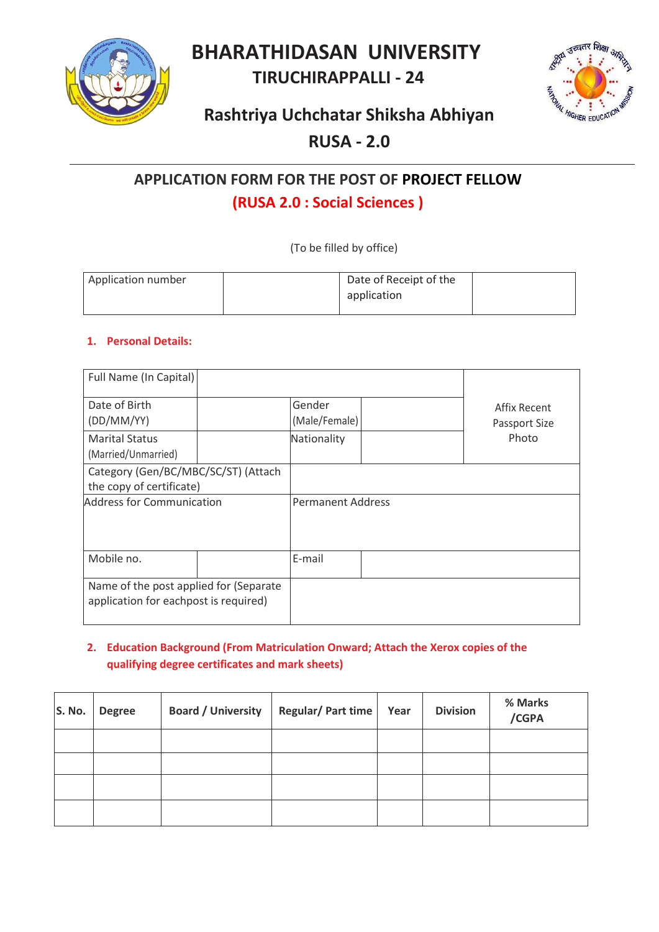**BHARATHIDASAN UNIVERSITY**

# **TIRUCHIRAPPALLI - 24**



### **Rashtriya Uchchatar Shiksha Abhiyan**

### **RUSA - 2.0**

## **APPLICATION FORM FOR THE POST OF PROJECT FELLOW (RUSA 2.0 : Social Sciences )**

(To be filled by office)

| Application number | Date of Receipt of the |  |
|--------------------|------------------------|--|
|                    | application            |  |
|                    |                        |  |

#### **1. Personal Details:**

| Full Name (In Capital)                                                          |  |                          |                               |
|---------------------------------------------------------------------------------|--|--------------------------|-------------------------------|
| Date of Birth<br>(DD/MM/YY)                                                     |  | Gender<br>(Male/Female)  | Affix Recent<br>Passport Size |
| <b>Marital Status</b><br>(Married/Unmarried)                                    |  | Nationality              | Photo                         |
| Category (Gen/BC/MBC/SC/ST) (Attach<br>the copy of certificate)                 |  |                          |                               |
| <b>Address for Communication</b>                                                |  | <b>Permanent Address</b> |                               |
| Mobile no.                                                                      |  | E-mail                   |                               |
| Name of the post applied for (Separate<br>application for eachpost is required) |  |                          |                               |

#### **2. Education Background (From Matriculation Onward; Attach the Xerox copies of the qualifying degree certificates and mark sheets)**

| S. No. | <b>Degree</b> | <b>Board / University</b> | Regular/ Part time | Year | <b>Division</b> | % Marks<br>/CGPA |
|--------|---------------|---------------------------|--------------------|------|-----------------|------------------|
|        |               |                           |                    |      |                 |                  |
|        |               |                           |                    |      |                 |                  |
|        |               |                           |                    |      |                 |                  |
|        |               |                           |                    |      |                 |                  |